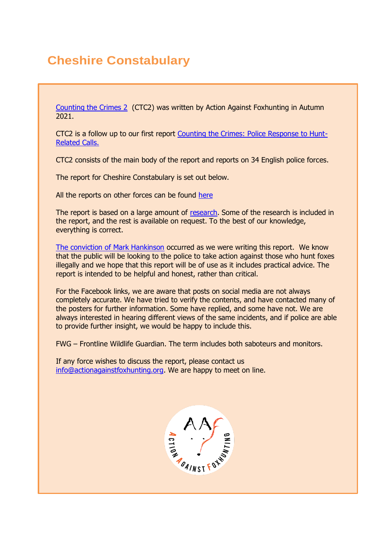# **Cheshire Constabulary**

[Counting the Crimes 2](https://www.actionagainstfoxhunting.org/counting-the-crimes2-the-police-response/) (CTC2) was written by Action Against Foxhunting in Autumn 2021.

CTC2 is a follow up to our first report [Counting the Crimes: Police Response to Hunt-](https://www.actionagainstfoxhunting.org/counting-the-crimes/)[Related Calls.](https://www.actionagainstfoxhunting.org/counting-the-crimes/)

CTC2 consists of the main body of the report and reports on 34 English police forces.

The report for Cheshire Constabulary is set out below.

All the reports on other forces can be found [here](https://www.actionagainstfoxhunting.org/counting-the-crimes2-the-police-response/)

The report is based on a large amount of [research.](https://www.actionagainstfoxhunting.org/wp-content/uploads/2021/11/A-1411-Research-for-CTC2.pdf) Some of the research is included in the report, and the rest is available on request. To the best of our knowledge, everything is correct.

[The conviction of Mark Hankinson](https://www.league.org.uk/news-and-resources/news/hunting-office-webinars-the-road-to-conviction/) occurred as we were writing this report. We know that the public will be looking to the police to take action against those who hunt foxes illegally and we hope that this report will be of use as it includes practical advice. The report is intended to be helpful and honest, rather than critical.

For the Facebook links, we are aware that posts on social media are not always completely accurate. We have tried to verify the contents, and have contacted many of the posters for further information. Some have replied, and some have not. We are always interested in hearing different views of the same incidents, and if police are able to provide further insight, we would be happy to include this.

FWG – Frontline Wildlife Guardian. The term includes both saboteurs and monitors.

If any force wishes to discuss the report, please contact us [info@actionagainstfoxhunting.org.](mailto:info@actionagainstfoxhunting.org) We are happy to meet on line.

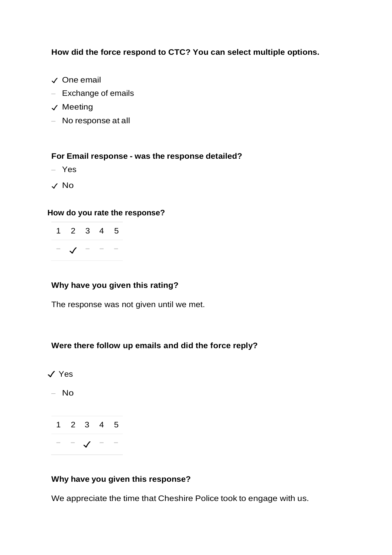**How did the force respond to CTC? You can select multiple options.**

- ✓ One email
- Exchange of emails
- ✓ Meeting
- No response at all

#### **For Email response - was the response detailed?**

- Yes
- ✓ No

#### **How do you rate the response?**

| $1 2 3 4 5$    |  |  |
|----------------|--|--|
| $ \sqrt{$ $ -$ |  |  |

### **Why have you given this rating?**

The response was not given until we met.

#### **Were there follow up emails and did the force reply?**

✓ Yes

– No

1 2 3 4 5 − − ✓ − −

#### **Why have you given this response?**

We appreciate the time that Cheshire Police took to engage with us.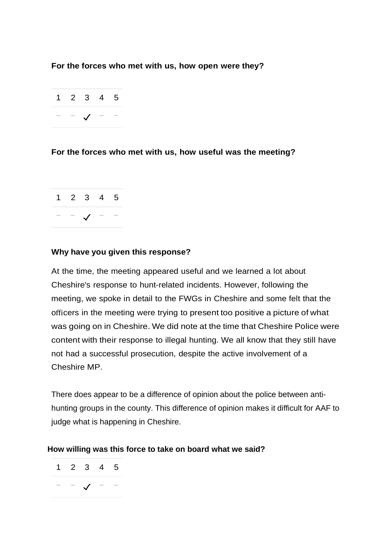### **For the forces who met with us, how open were they?**

$$
\begin{array}{ccccccccc}\n1 & 2 & 3 & 4 & 5 \\
& - & - & \sqrt{ & - & -}\n\end{array}
$$

# **For the forces who met with us, how useful was the meeting?**

1 2 3 4 5 − − ✓ − −

### **Why have you given this response?**

At the time, the meeting appeared useful and we learned a lot about Cheshire's response to hunt-related incidents. However, following the meeting, we spoke in detail to the FWGs in Cheshire and some felt that the officers in the meeting were trying to present too positive a picture of what was going on in Cheshire. We did note at the time that Cheshire Police were content with their response to illegal hunting. We all know that they still have not had a successful prosecution, despite the active involvement of a Cheshire MP.

There does appear to be a difference of opinion about the police between antihunting groups in the county. This difference of opinion makes it difficult for AAF to judge what is happening in Cheshire.

#### **How willing was this force to take on board what we said?**

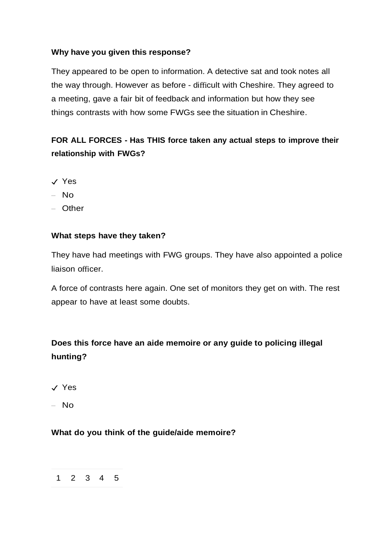# **Why have you given this response?**

They appeared to be open to information. A detective sat and took notes all the way through. However as before - difficult with Cheshire. They agreed to a meeting, gave a fair bit of feedback and information but how they see things contrasts with how some FWGs see the situation in Cheshire.

# **FOR ALL FORCES - Has THIS force taken any actual steps to improve their relationship with FWGs?**

- ✓ Yes
- No
- Other

# **What steps have they taken?**

They have had meetings with FWG groups. They have also appointed a police liaison officer.

A force of contrasts here again. One set of monitors they get on with. The rest appear to have at least some doubts.

# **Does this force have an aide memoire or any guide to policing illegal hunting?**

✓ Yes

– No

# **What do you think of the guide/aide memoire?**

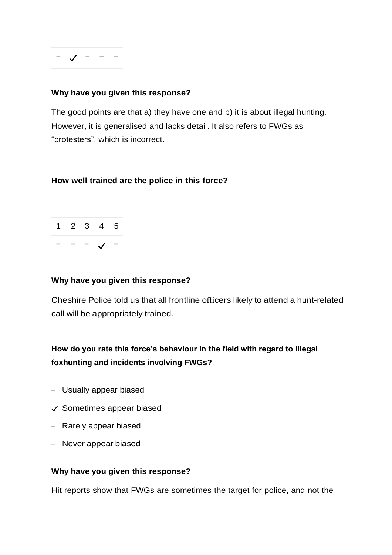$\sqrt{ - - -$ 

#### **Why have you given this response?**

The good points are that a) they have one and b) it is about illegal hunting. However, it is generalised and lacks detail. It also refers to FWGs as "protesters", which is incorrect.

### **How well trained are the police in this force?**

1 2 3 4 5 − − − ✓ −

#### **Why have you given this response?**

Cheshire Police told us that all frontline officers likely to attend a hunt-related call will be appropriately trained.

# **How do you rate this force's behaviour in the field with regard to illegal foxhunting and incidents involving FWGs?**

- Usually appear biased
- ✓ Sometimes appear biased
- Rarely appear biased
- Never appear biased

#### **Why have you given this response?**

Hit reports show that FWGs are sometimes the target for police, and not the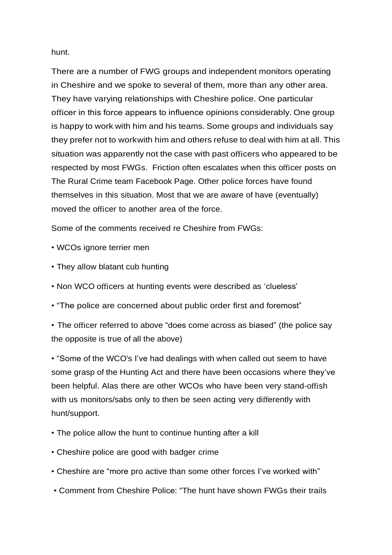hunt.

There are a number of FWG groups and independent monitors operating in Cheshire and we spoke to several of them, more than any other area. They have varying relationships with Cheshire police. One particular officer in this force appears to influence opinions considerably. One group is happy to work with him and his teams. Some groups and individuals say they prefer not to workwith him and others refuse to deal with him at all. This situation was apparently not the case with past officers who appeared to be respected by most FWGs. Friction often escalates when this officer posts on The Rural Crime team Facebook Page. Other police forces have found themselves in this situation. Most that we are aware of have (eventually) moved the officer to another area of the force.

Some of the comments received re Cheshire from FWGs:

- WCOs ignore terrier men
- They allow blatant cub hunting
- Non WCO officers at hunting events were described as 'clueless'
- "The police are concerned about public order first and foremost"
- The officer referred to above "does come across as biased" (the police say the opposite is true of all the above)

• "Some of the WCO's I've had dealings with when called out seem to have some grasp of the Hunting Act and there have been occasions where they've been helpful. Alas there are other WCOs who have been very stand-offish with us monitors/sabs only to then be seen acting very differently with hunt/support.

- The police allow the hunt to continue hunting after a kill
- Cheshire police are good with badger crime
- Cheshire are "more pro active than some other forces I've worked with"
- Comment from Cheshire Police: "The hunt have shown FWGs their trails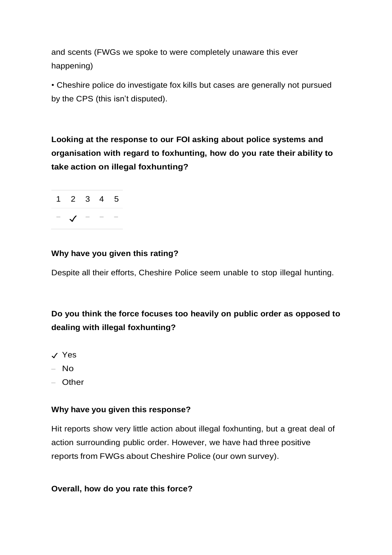and scents (FWGs we spoke to were completely unaware this ever happening)

• Cheshire police do investigate fox kills but cases are generally not pursued by the CPS (this isn't disputed).

**Looking at the response to our FOI asking about police systems and organisation with regard to foxhunting, how do you rate their ability to take action on illegal foxhunting?**



# **Why have you given this rating?**

Despite all their efforts, Cheshire Police seem unable to stop illegal hunting.

# **Do you think the force focuses too heavily on public order as opposed to dealing with illegal foxhunting?**

- ✓ Yes
- No
- Other

# **Why have you given this response?**

Hit reports show very little action about illegal foxhunting, but a great deal of action surrounding public order. However, we have had three positive reports from FWGs about Cheshire Police (our own survey).

# **Overall, how do you rate this force?**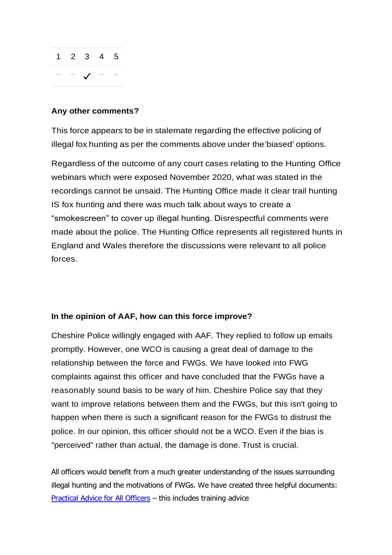

#### **Any other comments?**

This force appears to be in stalemate regarding the effective policing of illegal fox hunting as per the comments above under the'biased' options.

Regardless of the outcome of any court cases relating to the Hunting Office webinars which were exposed November 2020, what was stated in the recordings cannot be unsaid. The Hunting Office made it clear trail hunting IS fox hunting and there was much talk about ways to create a "smokescreen" to cover up illegal hunting. Disrespectful comments were made about the police. The Hunting Office represents all registered hunts in England and Wales therefore the discussions were relevant to all police forces.

#### **In the opinion of AAF, how can this force improve?**

Cheshire Police willingly engaged with AAF. They replied to follow up emails promptly. However, one WCO is causing a great deal of damage to the relationship between the force and FWGs. We have looked into FWG complaints against this officer and have concluded that the FWGs have a reasonably sound basis to be wary of him. Cheshire Police say that they want to improve relations between them and the FWGs, but this isn't going to happen when there is such a significant reason for the FWGs to distrust the police. In our opinion, this officer should not be a WCO. Even if the bias is "perceived" rather than actual, the damage is done. Trust is crucial.

All officers would benefit from a much greater understanding of the issues surrounding illegal hunting and the motivations of FWGs. We have created three helpful documents: [Practical Advice for All Officers](https://www.actionagainstfoxhunting.org/wp-content/uploads/2021/11/B-1411-Practical-Advice-for-all-Police-Forces.pdf) – this includes training advice